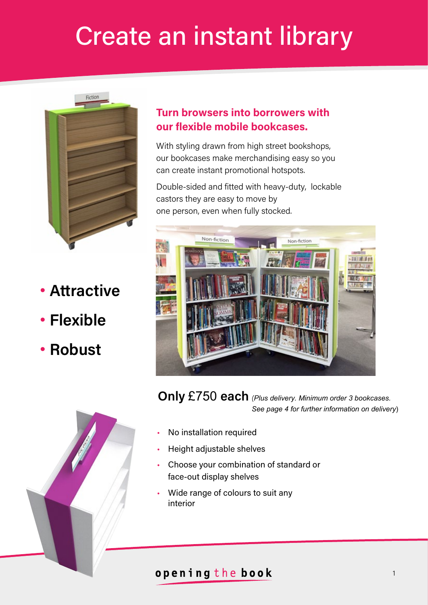# Create an instant library



- **Attractive**
- **Flexible**
- **Robust**



With styling drawn from high street bookshops, our bookcases make merchandising easy so you can create instant promotional hotspots.

Double-sided and fitted with heavy-duty, lockable castors they are easy to move by one person, even when fully stocked.



**Only** £750 **each** (*Plus delivery. Minimum order 3 bookcases. See page 4 for further information on delivery*)

- No installation required
- Height adjustable shelves
- Choose your combination of standard or face-out display shelves
- Wide range of colours to suit any interior



opening the book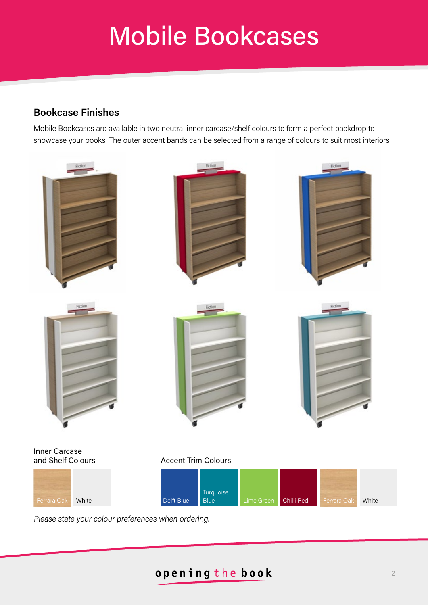# Mobile Bookcases

#### **Bookcase Finishes**

Mobile Bookcases are available in two neutral inner carcase/shelf colours to form a perfect backdrop to showcase your books. The outer accent bands can be selected from a range of colours to suit most interiors.



Please state your colour preferences when ordering.

## opening the book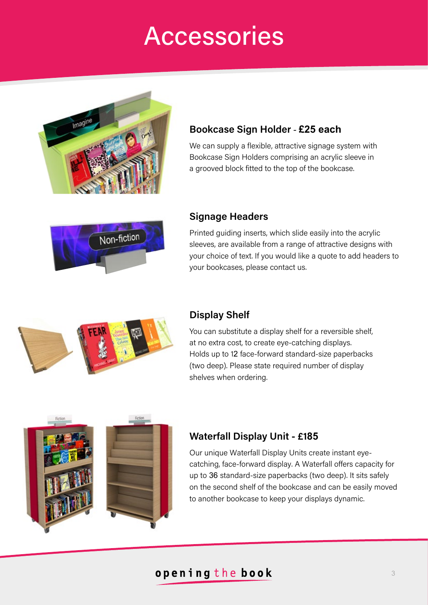## **Accessories**



Non-fiction

#### **Bookcase Sign Holder - £25 each**

We can supply a flexible, attractive signage system with Bookcase Sign Holders comprising an acrylic sleeve in a grooved block fitted to the top of the bookcase.

#### **Signage Headers**

Printed guiding inserts, which slide easily into the acrylic sleeves, are available from a range of attractive designs with your choice of text. If you would like a quote to add headers to your bookcases, please contact us.



#### **Display Shelf**

You can substitute a display shelf for a reversible shelf, at no extra cost, to create eye-catching displays. Holds up to 12 face-forward standard-size paperbacks (two deep). Please state required number of display shelves when ordering.



#### **Waterfall Display Unit - £185**

Our unique Waterfall Display Units create instant eyecatching, face-forward display. A Waterfall offers capacity for up to 36 standard-size paperbacks (two deep). It sits safely on the second shelf of the bookcase and can be easily moved to another bookcase to keep your displays dynamic.

## opening the book